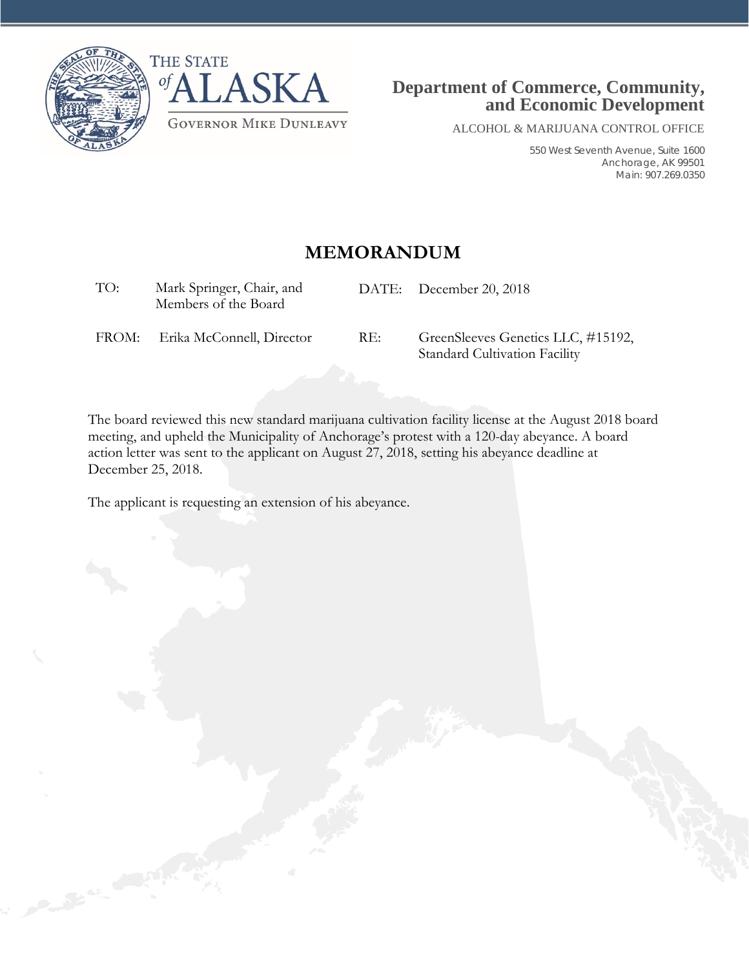



ALCOHOL & MARIJUANA CONTROL OFFICE

550 West Seventh Avenue, Suite 1600 Anchorage, AK 99501 Main: 907.269.0350

## **MEMORANDUM**

| TO:   | Mark Springer, Chair, and<br>Members of the Board |     | DATE: December 20, 2018                                                    |
|-------|---------------------------------------------------|-----|----------------------------------------------------------------------------|
| FROM: | Erika McConnell, Director                         | RE: | GreenSleeves Genetics LLC, #15192,<br><b>Standard Cultivation Facility</b> |

The board reviewed this new standard marijuana cultivation facility license at the August 2018 board meeting, and upheld the Municipality of Anchorage's protest with a 120-day abeyance. A board action letter was sent to the applicant on August 27, 2018, setting his abeyance deadline at December 25, 2018.

The applicant is requesting an extension of his abeyance.